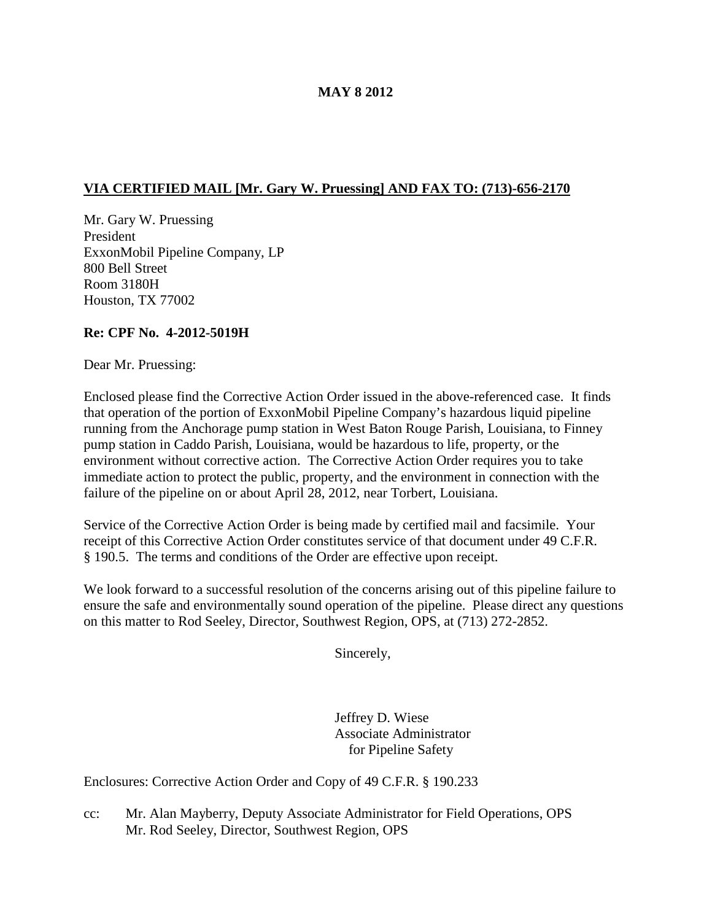## **MAY 8 2012**

# **VIA CERTIFIED MAIL [Mr. Gary W. Pruessing] AND FAX TO: (713)-656-2170**

Mr. Gary W. Pruessing President ExxonMobil Pipeline Company, LP 800 Bell Street Room 3180H Houston, TX 77002

## **Re: CPF No. 4-2012-5019H**

Dear Mr. Pruessing:

Enclosed please find the Corrective Action Order issued in the above-referenced case. It finds that operation of the portion of ExxonMobil Pipeline Company's hazardous liquid pipeline running from the Anchorage pump station in West Baton Rouge Parish, Louisiana, to Finney pump station in Caddo Parish, Louisiana, would be hazardous to life, property, or the environment without corrective action. The Corrective Action Order requires you to take immediate action to protect the public, property, and the environment in connection with the failure of the pipeline on or about April 28, 2012, near Torbert, Louisiana.

Service of the Corrective Action Order is being made by certified mail and facsimile. Your receipt of this Corrective Action Order constitutes service of that document under 49 C.F.R. § 190.5. The terms and conditions of the Order are effective upon receipt.

We look forward to a successful resolution of the concerns arising out of this pipeline failure to ensure the safe and environmentally sound operation of the pipeline. Please direct any questions on this matter to Rod Seeley, Director, Southwest Region, OPS, at (713) 272-2852.

Sincerely,

Jeffrey D. Wiese Associate Administrator for Pipeline Safety

Enclosures: Corrective Action Order and Copy of 49 C.F.R. § 190.233

cc: Mr. Alan Mayberry, Deputy Associate Administrator for Field Operations, OPS Mr. Rod Seeley, Director, Southwest Region, OPS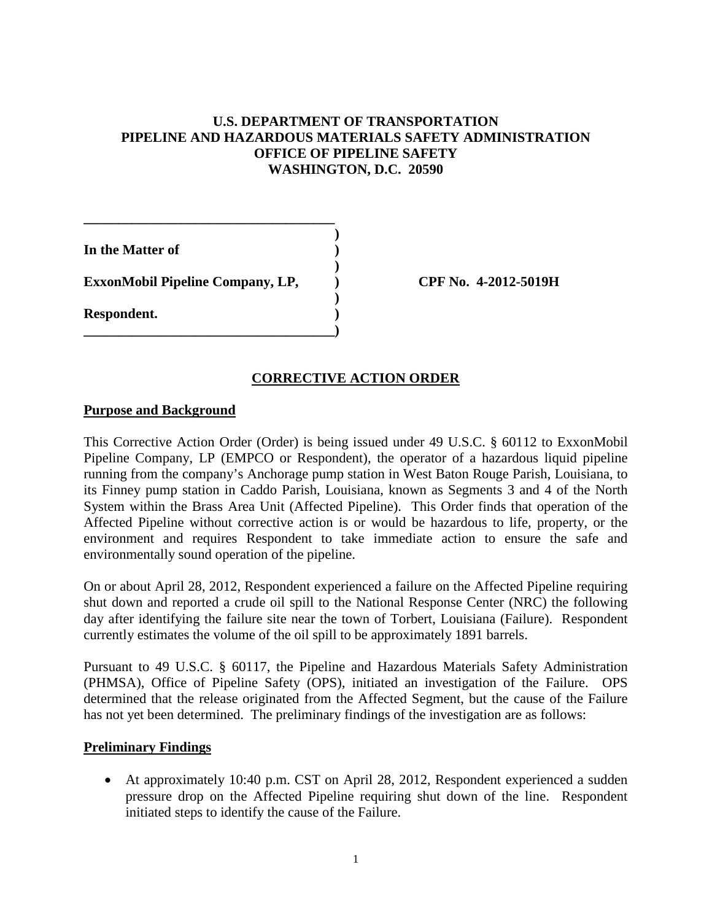# **U.S. DEPARTMENT OF TRANSPORTATION PIPELINE AND HAZARDOUS MATERIALS SAFETY ADMINISTRATION OFFICE OF PIPELINE SAFETY WASHINGTON, D.C. 20590**

**)**

**)**

**)**

**In the Matter of ) ExxonMobil Pipeline Company, LP, ) CPF No. 4-2012-5019H**

**\_\_\_\_\_\_\_\_\_\_\_\_\_\_\_\_\_\_\_\_\_\_\_\_\_\_\_\_\_\_\_\_\_\_\_\_**

**\_\_\_\_\_\_\_\_\_\_\_\_\_\_\_\_\_\_\_\_\_\_\_\_\_\_\_\_\_\_\_\_\_\_\_\_)**

### **CORRECTIVE ACTION ORDER**

### **Purpose and Background**

**Respondent. )**

This Corrective Action Order (Order) is being issued under 49 U.S.C. § 60112 to ExxonMobil Pipeline Company, LP (EMPCO or Respondent), the operator of a hazardous liquid pipeline running from the company's Anchorage pump station in West Baton Rouge Parish, Louisiana, to its Finney pump station in Caddo Parish, Louisiana, known as Segments 3 and 4 of the North System within the Brass Area Unit (Affected Pipeline). This Order finds that operation of the Affected Pipeline without corrective action is or would be hazardous to life, property, or the environment and requires Respondent to take immediate action to ensure the safe and environmentally sound operation of the pipeline.

On or about April 28, 2012, Respondent experienced a failure on the Affected Pipeline requiring shut down and reported a crude oil spill to the National Response Center (NRC) the following day after identifying the failure site near the town of Torbert, Louisiana (Failure). Respondent currently estimates the volume of the oil spill to be approximately 1891 barrels.

Pursuant to 49 U.S.C. § 60117, the Pipeline and Hazardous Materials Safety Administration (PHMSA), Office of Pipeline Safety (OPS), initiated an investigation of the Failure. OPS determined that the release originated from the Affected Segment, but the cause of the Failure has not yet been determined. The preliminary findings of the investigation are as follows:

### **Preliminary Findings**

• At approximately 10:40 p.m. CST on April 28, 2012, Respondent experienced a sudden pressure drop on the Affected Pipeline requiring shut down of the line. Respondent initiated steps to identify the cause of the Failure.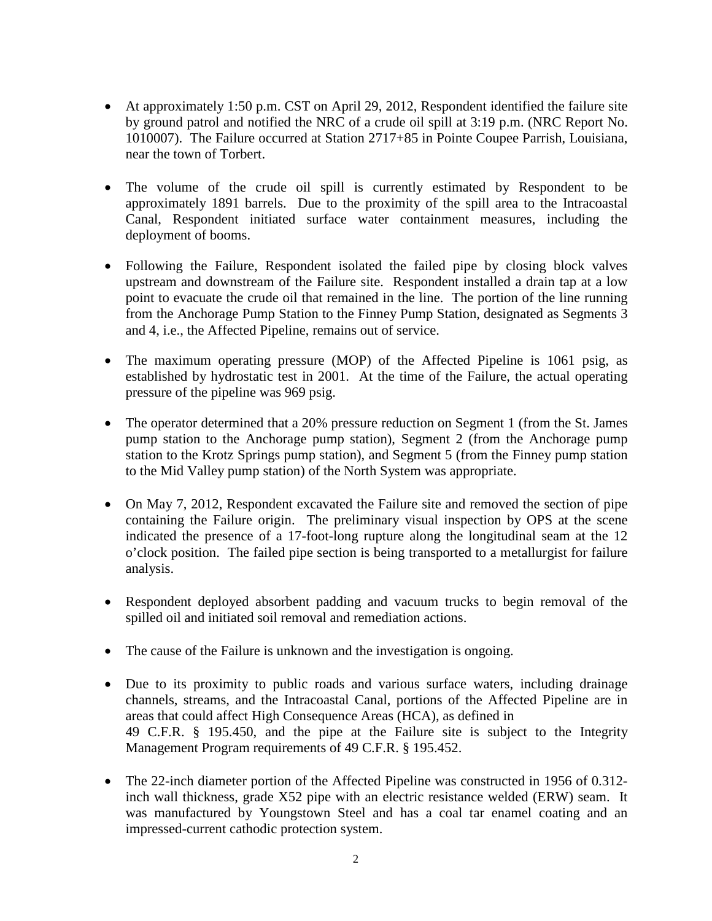- At approximately 1:50 p.m. CST on April 29, 2012, Respondent identified the failure site by ground patrol and notified the NRC of a crude oil spill at 3:19 p.m. (NRC Report No. 1010007). The Failure occurred at Station 2717+85 in Pointe Coupee Parrish, Louisiana, near the town of Torbert.
- The volume of the crude oil spill is currently estimated by Respondent to be approximately 1891 barrels. Due to the proximity of the spill area to the Intracoastal Canal, Respondent initiated surface water containment measures, including the deployment of booms.
- Following the Failure, Respondent isolated the failed pipe by closing block valves upstream and downstream of the Failure site. Respondent installed a drain tap at a low point to evacuate the crude oil that remained in the line. The portion of the line running from the Anchorage Pump Station to the Finney Pump Station, designated as Segments 3 and 4, i.e., the Affected Pipeline, remains out of service.
- The maximum operating pressure (MOP) of the Affected Pipeline is 1061 psig, as established by hydrostatic test in 2001. At the time of the Failure, the actual operating pressure of the pipeline was 969 psig.
- The operator determined that a 20% pressure reduction on Segment 1 (from the St. James pump station to the Anchorage pump station), Segment 2 (from the Anchorage pump station to the Krotz Springs pump station), and Segment 5 (from the Finney pump station to the Mid Valley pump station) of the North System was appropriate.
- On May 7, 2012, Respondent excavated the Failure site and removed the section of pipe containing the Failure origin. The preliminary visual inspection by OPS at the scene indicated the presence of a 17-foot-long rupture along the longitudinal seam at the 12 o'clock position. The failed pipe section is being transported to a metallurgist for failure analysis.
- Respondent deployed absorbent padding and vacuum trucks to begin removal of the spilled oil and initiated soil removal and remediation actions.
- The cause of the Failure is unknown and the investigation is ongoing.
- Due to its proximity to public roads and various surface waters, including drainage channels, streams, and the Intracoastal Canal, portions of the Affected Pipeline are in areas that could affect High Consequence Areas (HCA), as defined in 49 C.F.R. § 195.450, and the pipe at the Failure site is subject to the Integrity Management Program requirements of 49 C.F.R. § 195.452.
- The 22-inch diameter portion of the Affected Pipeline was constructed in 1956 of 0.312inch wall thickness, grade X52 pipe with an electric resistance welded (ERW) seam. It was manufactured by Youngstown Steel and has a coal tar enamel coating and an impressed-current cathodic protection system.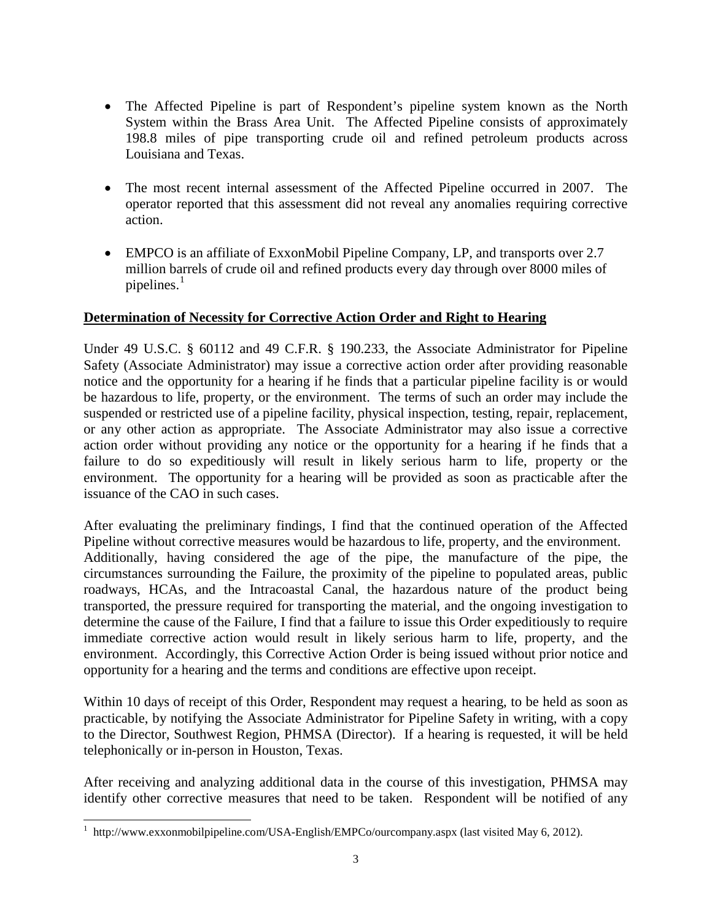- The Affected Pipeline is part of Respondent's pipeline system known as the North System within the Brass Area Unit. The Affected Pipeline consists of approximately 198.8 miles of pipe transporting crude oil and refined petroleum products across Louisiana and Texas.
- The most recent internal assessment of the Affected Pipeline occurred in 2007. The operator reported that this assessment did not reveal any anomalies requiring corrective action.
- EMPCO is an affiliate of ExxonMobil Pipeline Company, LP, and transports over 2.7 million barrels of crude oil and refined products every day through over 8000 miles of pipelines. $1$

# **Determination of Necessity for Corrective Action Order and Right to Hearing**

Under 49 U.S.C. § 60112 and 49 C.F.R. § 190.233, the Associate Administrator for Pipeline Safety (Associate Administrator) may issue a corrective action order after providing reasonable notice and the opportunity for a hearing if he finds that a particular pipeline facility is or would be hazardous to life, property, or the environment. The terms of such an order may include the suspended or restricted use of a pipeline facility, physical inspection, testing, repair, replacement, or any other action as appropriate. The Associate Administrator may also issue a corrective action order without providing any notice or the opportunity for a hearing if he finds that a failure to do so expeditiously will result in likely serious harm to life, property or the environment. The opportunity for a hearing will be provided as soon as practicable after the issuance of the CAO in such cases.

After evaluating the preliminary findings, I find that the continued operation of the Affected Pipeline without corrective measures would be hazardous to life, property, and the environment. Additionally, having considered the age of the pipe, the manufacture of the pipe, the circumstances surrounding the Failure, the proximity of the pipeline to populated areas, public roadways, HCAs, and the Intracoastal Canal, the hazardous nature of the product being transported, the pressure required for transporting the material, and the ongoing investigation to determine the cause of the Failure, I find that a failure to issue this Order expeditiously to require immediate corrective action would result in likely serious harm to life, property, and the environment. Accordingly, this Corrective Action Order is being issued without prior notice and opportunity for a hearing and the terms and conditions are effective upon receipt.

Within 10 days of receipt of this Order, Respondent may request a hearing, to be held as soon as practicable, by notifying the Associate Administrator for Pipeline Safety in writing, with a copy to the Director, Southwest Region, PHMSA (Director). If a hearing is requested, it will be held telephonically or in-person in Houston, Texas.

After receiving and analyzing additional data in the course of this investigation, PHMSA may identify other corrective measures that need to be taken. Respondent will be notified of any

<span id="page-3-0"></span><sup>&</sup>lt;sup>1</sup> http://www.exxonmobilpipeline.com/USA-English/EMPCo/ourcompany.aspx (last visited May 6, 2012).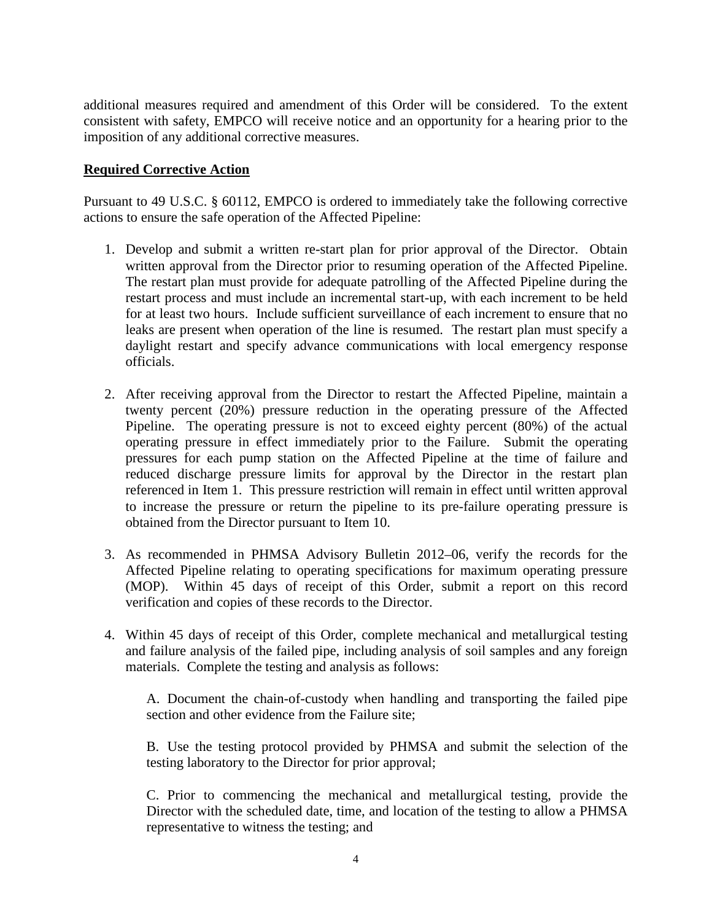additional measures required and amendment of this Order will be considered. To the extent consistent with safety, EMPCO will receive notice and an opportunity for a hearing prior to the imposition of any additional corrective measures.

## **Required Corrective Action**

Pursuant to 49 U.S.C. § 60112, EMPCO is ordered to immediately take the following corrective actions to ensure the safe operation of the Affected Pipeline:

- 1. Develop and submit a written re-start plan for prior approval of the Director. Obtain written approval from the Director prior to resuming operation of the Affected Pipeline. The restart plan must provide for adequate patrolling of the Affected Pipeline during the restart process and must include an incremental start-up, with each increment to be held for at least two hours. Include sufficient surveillance of each increment to ensure that no leaks are present when operation of the line is resumed. The restart plan must specify a daylight restart and specify advance communications with local emergency response officials.
- 2. After receiving approval from the Director to restart the Affected Pipeline, maintain a twenty percent (20%) pressure reduction in the operating pressure of the Affected Pipeline. The operating pressure is not to exceed eighty percent (80%) of the actual operating pressure in effect immediately prior to the Failure. Submit the operating pressures for each pump station on the Affected Pipeline at the time of failure and reduced discharge pressure limits for approval by the Director in the restart plan referenced in Item 1. This pressure restriction will remain in effect until written approval to increase the pressure or return the pipeline to its pre-failure operating pressure is obtained from the Director pursuant to Item 10.
- 3. As recommended in PHMSA Advisory Bulletin 2012–06, verify the records for the Affected Pipeline relating to operating specifications for maximum operating pressure (MOP). Within 45 days of receipt of this Order, submit a report on this record verification and copies of these records to the Director.
- 4. Within 45 days of receipt of this Order, complete mechanical and metallurgical testing and failure analysis of the failed pipe, including analysis of soil samples and any foreign materials. Complete the testing and analysis as follows:

A. Document the chain-of-custody when handling and transporting the failed pipe section and other evidence from the Failure site;

B. Use the testing protocol provided by PHMSA and submit the selection of the testing laboratory to the Director for prior approval;

C. Prior to commencing the mechanical and metallurgical testing, provide the Director with the scheduled date, time, and location of the testing to allow a PHMSA representative to witness the testing; and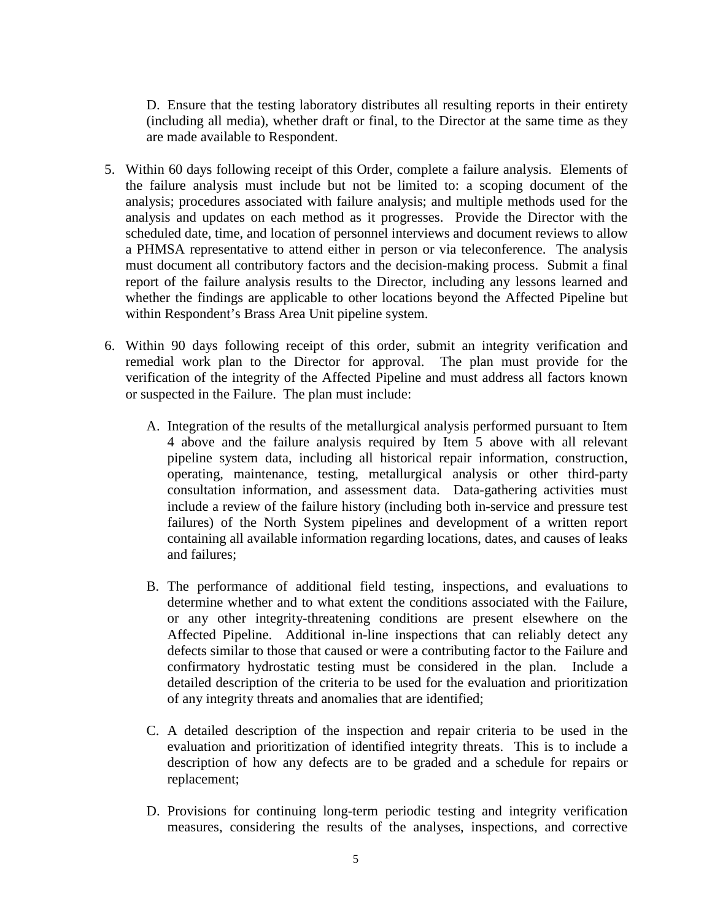D. Ensure that the testing laboratory distributes all resulting reports in their entirety (including all media), whether draft or final, to the Director at the same time as they are made available to Respondent.

- 5. Within 60 days following receipt of this Order, complete a failure analysis. Elements of the failure analysis must include but not be limited to: a scoping document of the analysis; procedures associated with failure analysis; and multiple methods used for the analysis and updates on each method as it progresses. Provide the Director with the scheduled date, time, and location of personnel interviews and document reviews to allow a PHMSA representative to attend either in person or via teleconference. The analysis must document all contributory factors and the decision-making process. Submit a final report of the failure analysis results to the Director, including any lessons learned and whether the findings are applicable to other locations beyond the Affected Pipeline but within Respondent's Brass Area Unit pipeline system.
- 6. Within 90 days following receipt of this order, submit an integrity verification and remedial work plan to the Director for approval. The plan must provide for the verification of the integrity of the Affected Pipeline and must address all factors known or suspected in the Failure. The plan must include:
	- A. Integration of the results of the metallurgical analysis performed pursuant to Item 4 above and the failure analysis required by Item 5 above with all relevant pipeline system data, including all historical repair information, construction, operating, maintenance, testing, metallurgical analysis or other third-party consultation information, and assessment data. Data-gathering activities must include a review of the failure history (including both in-service and pressure test failures) of the North System pipelines and development of a written report containing all available information regarding locations, dates, and causes of leaks and failures;
	- B. The performance of additional field testing, inspections, and evaluations to determine whether and to what extent the conditions associated with the Failure, or any other integrity-threatening conditions are present elsewhere on the Affected Pipeline. Additional in-line inspections that can reliably detect any defects similar to those that caused or were a contributing factor to the Failure and confirmatory hydrostatic testing must be considered in the plan. Include a detailed description of the criteria to be used for the evaluation and prioritization of any integrity threats and anomalies that are identified;
	- C. A detailed description of the inspection and repair criteria to be used in the evaluation and prioritization of identified integrity threats. This is to include a description of how any defects are to be graded and a schedule for repairs or replacement;
	- D. Provisions for continuing long-term periodic testing and integrity verification measures, considering the results of the analyses, inspections, and corrective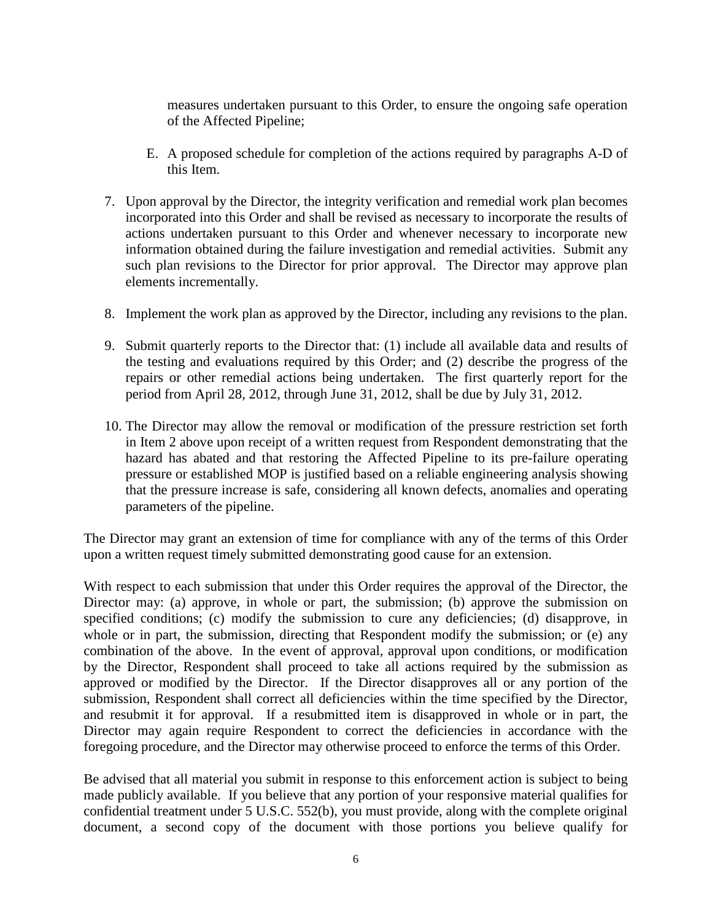measures undertaken pursuant to this Order, to ensure the ongoing safe operation of the Affected Pipeline;

- E. A proposed schedule for completion of the actions required by paragraphs A-D of this Item.
- 7. Upon approval by the Director, the integrity verification and remedial work plan becomes incorporated into this Order and shall be revised as necessary to incorporate the results of actions undertaken pursuant to this Order and whenever necessary to incorporate new information obtained during the failure investigation and remedial activities. Submit any such plan revisions to the Director for prior approval. The Director may approve plan elements incrementally.
- 8. Implement the work plan as approved by the Director, including any revisions to the plan.
- 9. Submit quarterly reports to the Director that: (1) include all available data and results of the testing and evaluations required by this Order; and (2) describe the progress of the repairs or other remedial actions being undertaken. The first quarterly report for the period from April 28, 2012, through June 31, 2012, shall be due by July 31, 2012.
- 10. The Director may allow the removal or modification of the pressure restriction set forth in Item 2 above upon receipt of a written request from Respondent demonstrating that the hazard has abated and that restoring the Affected Pipeline to its pre-failure operating pressure or established MOP is justified based on a reliable engineering analysis showing that the pressure increase is safe, considering all known defects, anomalies and operating parameters of the pipeline.

The Director may grant an extension of time for compliance with any of the terms of this Order upon a written request timely submitted demonstrating good cause for an extension.

With respect to each submission that under this Order requires the approval of the Director, the Director may: (a) approve, in whole or part, the submission; (b) approve the submission on specified conditions; (c) modify the submission to cure any deficiencies; (d) disapprove, in whole or in part, the submission, directing that Respondent modify the submission; or (e) any combination of the above. In the event of approval, approval upon conditions, or modification by the Director, Respondent shall proceed to take all actions required by the submission as approved or modified by the Director. If the Director disapproves all or any portion of the submission, Respondent shall correct all deficiencies within the time specified by the Director, and resubmit it for approval. If a resubmitted item is disapproved in whole or in part, the Director may again require Respondent to correct the deficiencies in accordance with the foregoing procedure, and the Director may otherwise proceed to enforce the terms of this Order.

Be advised that all material you submit in response to this enforcement action is subject to being made publicly available. If you believe that any portion of your responsive material qualifies for confidential treatment under 5 U.S.C. 552(b), you must provide, along with the complete original document, a second copy of the document with those portions you believe qualify for